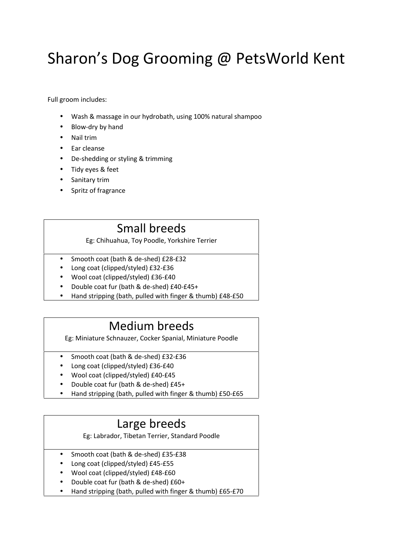# Sharon's Dog Grooming @ PetsWorld Kent

Full groom includes:

- Wash & massage in our hydrobath, using 100% natural shampoo
- Blow-dry by hand
- Nail trim
- Ear cleanse
- De-shedding or styling & trimming
- Tidy eyes & feet
- Sanitary trim
- Spritz of fragrance

#### Small breeds

Eg: Chihuahua, Toy Poodle, Yorkshire Terrier

Smooth coat (bath & de-shed) £28-£32

Long coat (clipped/styled) £32-£36

Wool coat (clipped/styled) £36-£40

Double coat fur (bath & de-shed) £40-£45+

Hand stripping (bath, pulled with finger & thumb) £48-£50

#### Medium breeds

Eg: Miniature Schnauzer, Cocker Spanial, Miniature Poodle

- Smooth coat (bath & de-shed) £32-£36
- Long coat (clipped/styled) £36-£40
- Wool coat (clipped/styled) £40-£45

Double coat fur (bath & de-shed) £45+

Hand stripping (bath, pulled with finger & thumb) £50-£65

### Large breeds

Eg: Labrador, Tibetan Terrier, Standard Poodle

- Smooth coat (bath & de-shed) £35-£38
- Long coat (clipped/styled) £45-£55
- Wool coat (clipped/styled) £48-£60

Double coat fur (bath & de-shed) £60+

Hand stripping (bath, pulled with finger & thumb) £65-£70